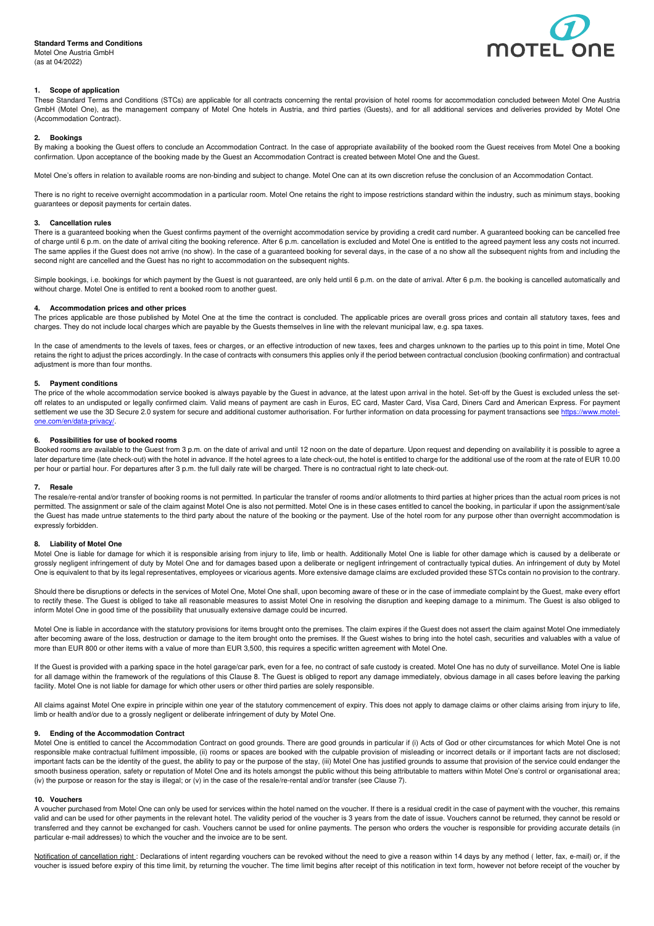# **Standard Terms and Conditions**

Motel One Austria GmbH (as at 04/2022)



# **1. Scope of application**

These Standard Terms and Conditions (STCs) are applicable for all contracts concerning the rental provision of hotel rooms for accommodation concluded between Motel One Austria GmbH (Motel One), as the management company of Motel One hotels in Austria, and third parties (Guests), and for all additional services and deliveries provided by Motel One (Accommodation Contract).

### **2. Bookings**

By making a booking the Guest offers to conclude an Accommodation Contract. In the case of appropriate availability of the booked room the Guest receives from Motel One a booking confirmation. Upon acceptance of the booking made by the Guest an Accommodation Contract is created between Motel One and the Guest.

Motel One's offers in relation to available rooms are non-binding and subject to change. Motel One can at its own discretion refuse the conclusion of an Accommodation Contact.

There is no right to receive overnight accommodation in a particular room. Motel One retains the right to impose restrictions standard within the industry, such as minimum stays, booking guarantees or deposit payments for certain dates.

# **3. Cancellation rules**

There is a guaranteed booking when the Guest confirms payment of the overnight accommodation service by providing a credit card number. A guaranteed booking can be cancelled free of charge until 6 p.m. on the date of arrival citing the booking reference. After 6 p.m. cancellation is excluded and Motel One is entitled to the agreed payment less any costs not incurred. The same applies if the Guest does not arrive (no show). In the case of a guaranteed booking for several days, in the case of a no show all the subsequent nights from and including the second night are cancelled and the Guest has no right to accommodation on the subsequent nights.

Simple bookings, i.e. bookings for which payment by the Guest is not guaranteed, are only held until 6 p.m. on the date of arrival. After 6 p.m. the booking is cancelled automatically and without charge. Motel One is entitled to rent a booked room to another guest.

## **4. Accommodation prices and other prices**

The prices applicable are those published by Motel One at the time the contract is concluded. The applicable prices are overall gross prices and contain all statutory taxes, fees and charges. They do not include local charges which are payable by the Guests themselves in line with the relevant municipal law, e.g. spa taxes.

In the case of amendments to the levels of taxes, fees or charges, or an effective introduction of new taxes, fees and charges unknown to the parties up to this point in time, Motel One retains the right to adjust the prices accordingly. In the case of contracts with consumers this applies only if the period between contractual conclusion (booking confirmation) and contractual adjustment is more than four months.

#### **5. Payment conditions**

The price of the whole accommodation service booked is always payable by the Guest in advance, at the latest upon arrival in the hotel. Set-off by the Guest is excluded unless the setoff relates to an undisputed or legally confirmed claim. Valid means of payment are cash in Euros, EC card, Master Card, Visa Card, Diners Card and American Express. For payment settlement we use the 3D Secure 2.0 system for secure and additional customer authorisation. For further information on data processing for payment transactions see https://www.motelone.com/en/data-privacy/.

#### **6. Possibilities for use of booked rooms**

Booked rooms are available to the Guest from 3 p.m. on the date of arrival and until 12 noon on the date of departure. Upon request and depending on availability it is possible to agree a later departure time (late check-out) with the hotel in advance. If the hotel agrees to a late check-out, the hotel is entitled to charge for the additional use of the room at the rate of EUR 10.00 per hour or partial hour. For departures after 3 p.m. the full daily rate will be charged. There is no contractual right to late check-out.

### **7. Resale**

The resale/re-rental and/or transfer of booking rooms is not permitted. In particular the transfer of rooms and/or allotments to third parties at higher prices than the actual room prices is not permitted. The assignment or sale of the claim against Motel One is also not permitted. Motel One is in these cases entitled to cancel the booking, in particular if upon the assignment/sale the Guest has made untrue statements to the third party about the nature of the booking or the payment. Use of the hotel room for any purpose other than overnight accommodation is expressly forbidden.

### **8. Liability of Motel One**

Motel One is liable for damage for which it is responsible arising from injury to life, limb or health. Additionally Motel One is liable for other damage which is caused by a deliberate or grossly negligent infringement of duty by Motel One and for damages based upon a deliberate or negligent infringement of contractually typical duties. An infringement of duty by Motel One is equivalent to that by its legal representatives, employees or vicarious agents. More extensive damage claims are excluded provided these STCs contain no provision to the contrary.

Should there be disruptions or defects in the services of Motel One, Motel One shall, upon becoming aware of these or in the case of immediate complaint by the Guest, make every effort to rectify these. The Guest is obliged to take all reasonable measures to assist Motel One in resolving the disruption and keeping damage to a minimum. The Guest is also obliged to inform Motel One in good time of the possibility that unusually extensive damage could be incurred.

Motel One is liable in accordance with the statutory provisions for items brought onto the premises. The claim expires if the Guest does not assert the claim against Motel One immediately after becoming aware of the loss, destruction or damage to the item brought onto the premises. If the Guest wishes to bring into the hotel cash, securities and valuables with a value of more than EUR 800 or other items with a value of more than EUR 3,500, this requires a specific written agreement with Motel One.

If the Guest is provided with a parking space in the hotel garage/car park, even for a fee, no contract of safe custody is created. Motel One has no duty of surveillance. Motel One is liable for all damage within the framework of the regulations of this Clause 8. The Guest is obliged to report any damage immediately, obvious damage in all cases before leaving the parking facility. Motel One is not liable for damage for which other users or other third parties are solely responsible.

All claims against Motel One expire in principle within one year of the statutory commencement of expiry. This does not apply to damage claims or other claims arising from injury to life, limb or health and/or due to a grossly negligent or deliberate infringement of duty by Motel One.

#### **9. Ending of the Accommodation Contract**

Motel One is entitled to cancel the Accommodation Contract on good grounds. There are good grounds in particular if (i) Acts of God or other circumstances for which Motel One is not responsible make contractual fulfilment impossible, (ii) rooms or spaces are booked with the culpable provision of misleading or incorrect details or if important facts are not disclosed; important facts can be the identity of the guest, the ability to pay or the purpose of the stay, (iii) Motel One has justified grounds to assume that provision of the service could endanger the smooth business operation, safety or reputation of Motel One and its hotels amongst the public without this being attributable to matters within Motel One's control or organisational area; (iv) the purpose or reason for the stay is illegal; or (v) in the case of the resale/re-rental and/or transfer (see Clause 7).

# **10. Vouchers**

A voucher purchased from Motel One can only be used for services within the hotel named on the voucher. If there is a residual credit in the case of payment with the voucher, this remains valid and can be used for other payments in the relevant hotel. The validity period of the voucher is 3 years from the date of issue. Vouchers cannot be returned, they cannot be resold or transferred and they cannot be exchanged for cash. Vouchers cannot be used for online payments. The person who orders the voucher is responsible for providing accurate details (in particular e-mail addresses) to which the voucher and the invoice are to be sent.

Notification of cancellation right : Declarations of intent regarding vouchers can be revoked without the need to give a reason within 14 days by any method ( letter, fax, e-mail) or, if the voucher is issued before expiry of this time limit, by returning the voucher. The time limit begins after receipt of this notification in text form, however not before receipt of the voucher by